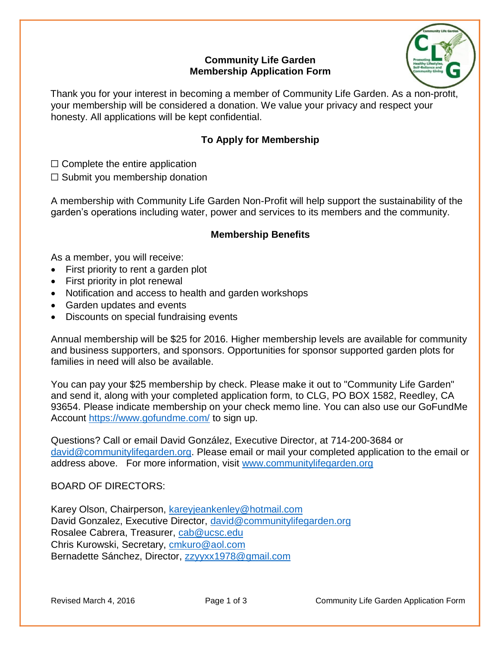### **Community Life Garden Membership Application Form**



Thank you for your interest in becoming a member of Community Life Garden. As a non-profit, your membership will be considered a donation. We value your privacy and respect your honesty. All applications will be kept confidential.

## **To Apply for Membership**

 $\Box$  Complete the entire application

 $\Box$  Submit you membership donation

A membership with Community Life Garden Non-Profit will help support the sustainability of the garden's operations including water, power and services to its members and the community.

### **Membership Benefits**

As a member, you will receive:

- First priority to rent a garden plot
- First priority in plot renewal
- Notification and access to health and garden workshops
- Garden updates and events
- Discounts on special fundraising events

Annual membership will be \$25 for 2016. Higher membership levels are available for community and business supporters, and sponsors. Opportunities for sponsor supported garden plots for families in need will also be available.

You can pay your \$25 membership by check. Please make it out to "Community Life Garden" and send it, along with your completed application form, to CLG, PO BOX 1582, Reedley, CA 93654. Please indicate membership on your check memo line. You can also use our GoFundMe Account<https://www.gofundme.com/> to sign up.

Questions? Call or email David González, Executive Director, at 714-200-3684 or [david@communitylifegarden.org.](mailto:david@communitylifegarden.org) Please email or mail your completed application to the email or address above. For more information, visit [www.communitylifegarden.org](http://www.communitylifegarden.org/)

BOARD OF DIRECTORS:

Karey Olson, Chairperson, [kareyjeankenley@hotmail.com](mailto:kareyjeankenley@hotmail.com) David Gonzalez, Executive Director, [david@communitylifegarden.org](mailto:david@communitylifegarden.org) Rosalee Cabrera, Treasurer, [cab@ucsc.edu](mailto:cab@ucsc.edu) Chris Kurowski, Secretary, [cmkuro@aol.com](mailto:cmkuro@aol.com) Bernadette Sánchez, Director, [zzyyxx1978@gmail.com](mailto:zzyyxx1978@gmail.com)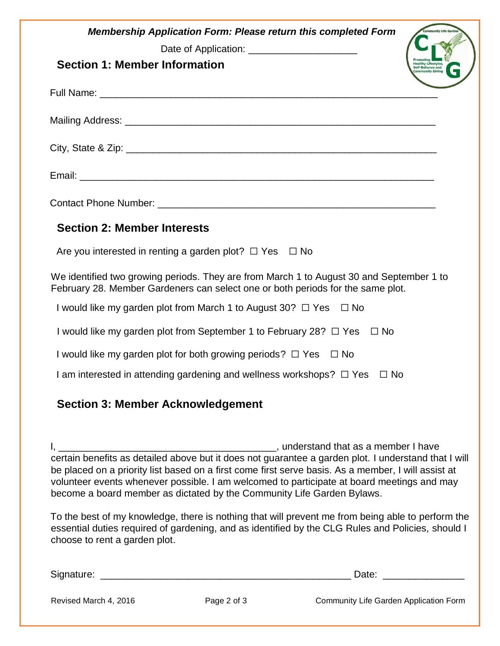| <b>Membership Application Form: Please return this completed Form</b><br>Date of Application: _________________________<br><b>Section 1: Member Information</b><br><b>Healthy Lifestyles,<br/>Self-Reliance and<br/>Sommunity Giving</b>                                    |
|-----------------------------------------------------------------------------------------------------------------------------------------------------------------------------------------------------------------------------------------------------------------------------|
|                                                                                                                                                                                                                                                                             |
|                                                                                                                                                                                                                                                                             |
|                                                                                                                                                                                                                                                                             |
|                                                                                                                                                                                                                                                                             |
|                                                                                                                                                                                                                                                                             |
| <b>Section 2: Member Interests</b>                                                                                                                                                                                                                                          |
| Are you interested in renting a garden plot? $\Box$ Yes $\Box$ No                                                                                                                                                                                                           |
| We identified two growing periods. They are from March 1 to August 30 and September 1 to<br>February 28. Member Gardeners can select one or both periods for the same plot.                                                                                                 |
| I would like my garden plot from March 1 to August 30? $\Box$ Yes $\Box$ No                                                                                                                                                                                                 |
| I would like my garden plot from September 1 to February 28? $\Box$ Yes<br>$\Box$ No                                                                                                                                                                                        |
| I would like my garden plot for both growing periods? $\Box$ Yes $\Box$ No                                                                                                                                                                                                  |
| I am interested in attending gardening and wellness workshops? $\Box$ Yes<br>$\Box$ No                                                                                                                                                                                      |
| <b>Section 3: Member Acknowledgement</b>                                                                                                                                                                                                                                    |
| be placed on a priority list based on a first come first serve basis. As a member, I will assist at<br>volunteer events whenever possible. I am welcomed to participate at board meetings and may<br>become a board member as dictated by the Community Life Garden Bylaws. |

To the best of my knowledge, there is nothing that will prevent me from being able to perform the essential duties required of gardening, and as identified by the CLG Rules and Policies, should I choose to rent a garden plot.

Signature: \_\_\_\_\_\_\_\_\_\_\_\_\_\_\_\_\_\_\_\_\_\_\_\_\_\_\_\_\_\_\_\_\_\_\_\_\_\_\_\_\_\_\_\_\_\_ Date: \_\_\_\_\_\_\_\_\_\_\_\_\_\_\_

Revised March 4, 2016 **Page 2 of 3** Community Life Garden Application Form